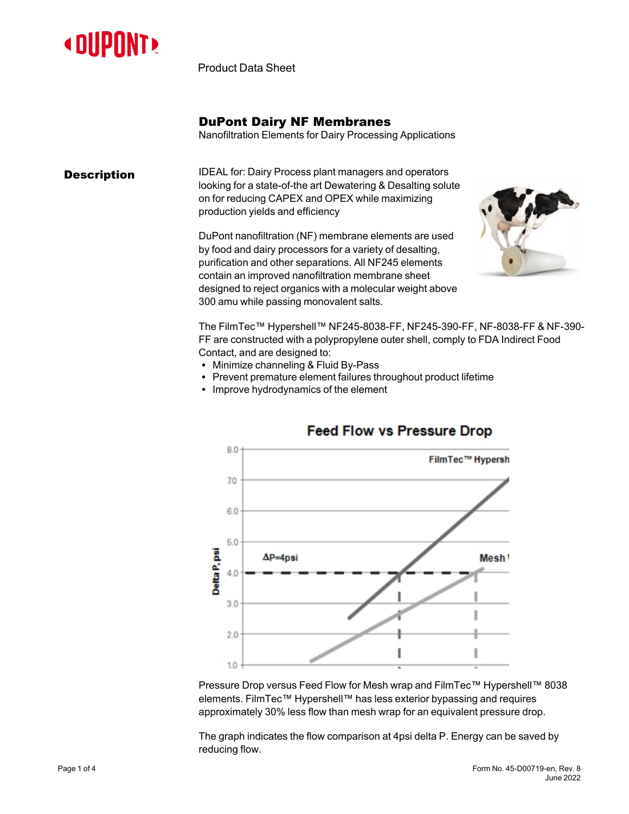

Product Data Sheet

## DuPont Dairy NF Membranes

Nanofiltration Elements for Dairy Processing Applications

**Description IDEAL for: Dairy Process plant managers and operators** looking for a state-of-the art Dewatering & Desalting solute on for reducing CAPEX and OPEX while maximizing production yields and efficiency

> DuPont nanofiltration (NF) membrane elements are used by food and dairy processors for a variety of desalting, purification and other separations. All NF245 elements contain an improved nanofiltration membrane sheet designed to reject organics with a molecular weight above 300 amu while passing monovalent salts.



The FilmTec™ Hypershell™ NF245-8038-FF, NF245-390-FF, NF-8038-FF & NF-390- FF are constructed with a polypropylene outer shell, comply to FDA Indirect Food Contact, and are designed to:

- Minimize channeling & Fluid By-Pass
- Prevent premature element failures throughout product lifetime
- Improve hydrodynamics of the element



# **Feed Flow vs Pressure Drop**

Pressure Drop versus Feed Flow for Mesh wrap and FilmTec™ Hypershell™ 8038 elements. FilmTec™ Hypershell™ has less exterior bypassing and requires approximately 30% less flow than mesh wrap for an equivalent pressure drop.

The graph indicates the flow comparison at 4psi delta P. Energy can be saved by reducing flow.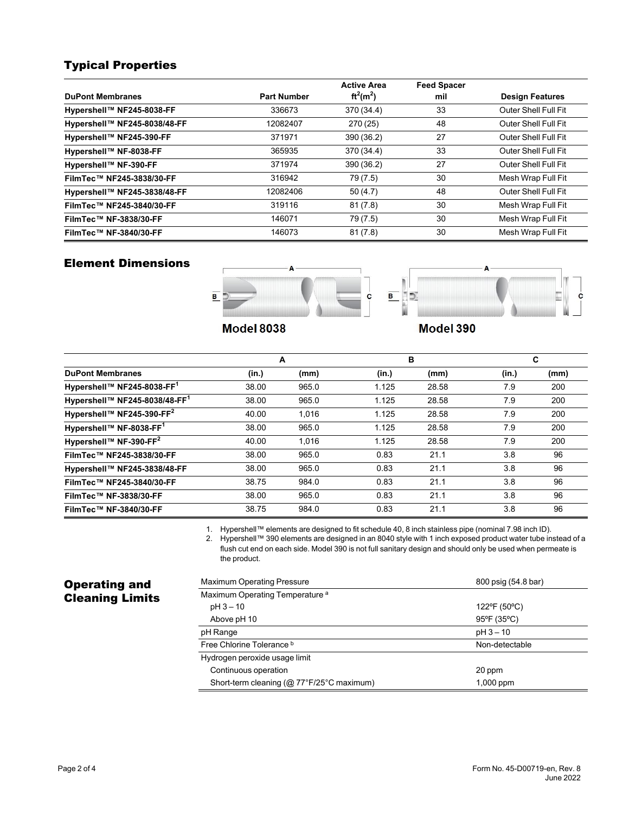# Typical Properties

|                              |                    | <b>Active Area</b> | <b>Feed Spacer</b> |                             |
|------------------------------|--------------------|--------------------|--------------------|-----------------------------|
| <b>DuPont Membranes</b>      | <b>Part Number</b> | $ft^2(m^2)$        | mil                | <b>Design Features</b>      |
| Hypershell™ NF245-8038-FF    | 336673             | 370 (34.4)         | 33                 | Outer Shell Full Fit        |
| Hypershell™ NF245-8038/48-FF | 12082407           | 270(25)            | 48                 | Outer Shell Full Fit        |
| Hypershell™ NF245-390-FF     | 371971             | 390 (36.2)         | 27                 | Outer Shell Full Fit        |
| Hypershell™ NF-8038-FF       | 365935             | 370 (34.4)         | 33                 | Outer Shell Full Fit        |
| Hypershell™ NF-390-FF        | 371974             | 390 (36.2)         | 27                 | <b>Outer Shell Full Fit</b> |
| FilmTec™ NF245-3838/30-FF    | 316942             | 79 (7.5)           | 30                 | Mesh Wrap Full Fit          |
| Hypershell™ NF245-3838/48-FF | 12082406           | 50(4.7)            | 48                 | Outer Shell Full Fit        |
| FilmTec™ NF245-3840/30-FF    | 319116             | 81(7.8)            | 30                 | Mesh Wrap Full Fit          |
| FilmTec™ NF-3838/30-FF       | 146071             | 79 (7.5)           | 30                 | Mesh Wrap Full Fit          |
| FilmTec™ NF-3840/30-FF       | 146073             | 81(7.8)            | 30                 | Mesh Wrap Full Fit          |

### Element Dimensions





**Model 8038** 

Model 390

|                                       |       | А     | в     |       |       | С    |
|---------------------------------------|-------|-------|-------|-------|-------|------|
| <b>DuPont Membranes</b>               | (in.) | (mm)  | (in.) | (mm)  | (in.) | (mm) |
| Hypershell™ NF245-8038-FF1            | 38.00 | 965.0 | 1.125 | 28.58 | 7.9   | 200  |
| Hypershell™ NF245-8038/48-FF1         | 38.00 | 965.0 | 1.125 | 28.58 | 7.9   | 200  |
| Hypershell™ NF245-390-FF <sup>2</sup> | 40.00 | 1.016 | 1.125 | 28.58 | 7.9   | 200  |
| Hypershell™ NF-8038-FF1               | 38.00 | 965.0 | 1.125 | 28.58 | 7.9   | 200  |
| Hypershell™ NF-390-FF <sup>2</sup>    | 40.00 | 1.016 | 1.125 | 28.58 | 7.9   | 200  |
| FilmTec™ NF245-3838/30-FF             | 38.00 | 965.0 | 0.83  | 21.1  | 3.8   | 96   |
| Hypershell™ NF245-3838/48-FF          | 38.00 | 965.0 | 0.83  | 21.1  | 3.8   | 96   |
| FilmTec™ NF245-3840/30-FF             | 38.75 | 984.0 | 0.83  | 21.1  | 3.8   | 96   |
| FilmTec™ NF-3838/30-FF                | 38.00 | 965.0 | 0.83  | 21.1  | 3.8   | 96   |
| FilmTec™ NF-3840/30-FF                | 38.75 | 984.0 | 0.83  | 21.1  | 3.8   | 96   |

1. Hypershell™ elements are designed to fit schedule 40, 8 inch stainless pipe (nominal 7.98 inch ID).

2. Hypershell™ 390 elements are designed in an 8040 style with 1 inch exposed product water tube instead of a flush cut end on each side. Model 390 is not full sanitary design and should only be used when permeate is the product.

# Operating and Cleaning Limits

| <b>Maximum Operating Pressure</b>          | 800 psig (54.8 bar) |  |
|--------------------------------------------|---------------------|--|
| Maximum Operating Temperature <sup>a</sup> |                     |  |
| $pH3 - 10$                                 | 122°F (50°C)        |  |
| Above pH 10                                | 95°F (35°C)         |  |
| pH Range                                   | $pH3 - 10$          |  |
| Free Chlorine Tolerance b                  | Non-detectable      |  |
| Hydrogen peroxide usage limit              |                     |  |
| Continuous operation                       | 20 ppm              |  |
| Short-term cleaning (@ 77°F/25°C maximum)  | $1,000$ ppm         |  |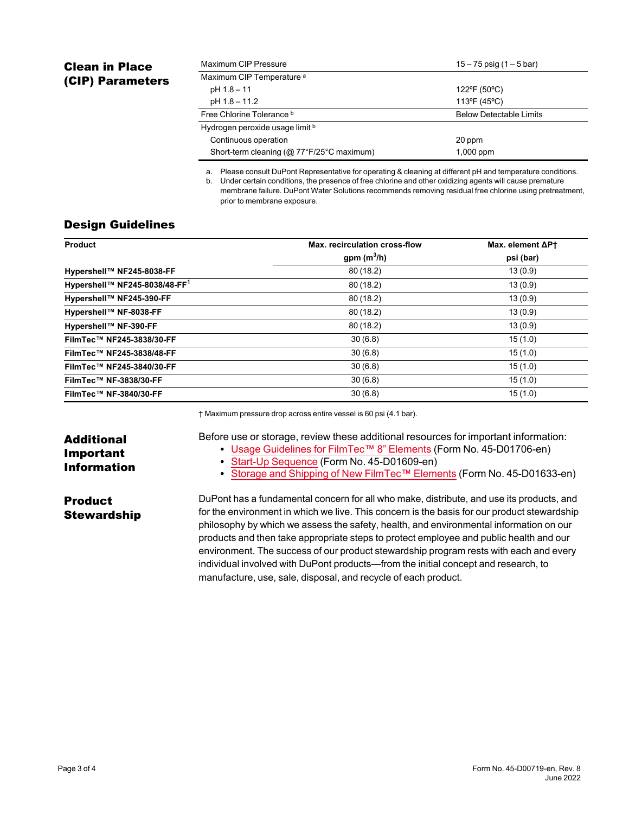# Clean in Place (CIP) Parameters

| Maximum CIP Pressure<br>$15 - 75$ psig (1 $-5$ bar) |                                |
|-----------------------------------------------------|--------------------------------|
| Maximum CIP Temperature <sup>a</sup>                |                                |
| pH 1.8 - 11                                         | 122°F (50°C)                   |
| pH 1.8 - 11.2                                       | 113°F (45°C)                   |
| Free Chlorine Tolerance b                           | <b>Below Detectable Limits</b> |
| Hydrogen peroxide usage limit b                     |                                |
| Continuous operation                                | 20 ppm                         |
| Short-term cleaning (@ 77°F/25°C maximum)           | $1,000$ ppm                    |

a. Please consult DuPont Representative for operating & cleaning at different pH and temperature conditions. b. Under certain conditions, the presence of free chlorine and other oxidizing agents will cause premature membrane failure. DuPont Water Solutions recommends removing residual free chlorine using pretreatment, prior to membrane exposure.

### Design Guidelines

| Product                                   | Max. recirculation cross-flow | Max. element $\Delta$ Pt |
|-------------------------------------------|-------------------------------|--------------------------|
|                                           | gpm $(m^3/h)$                 | psi (bar)                |
| Hypershell™ NF245-8038-FF                 | 80(18.2)                      | 13(0.9)                  |
| Hypershell™ NF245-8038/48-FF <sup>1</sup> | 80(18.2)                      | 13(0.9)                  |
| Hypershell™ NF245-390-FF                  | 80(18.2)                      | 13(0.9)                  |
| Hypershell™ NF-8038-FF                    | 80(18.2)                      | 13(0.9)                  |
| Hypershell™ NF-390-FF                     | 80(18.2)                      | 13(0.9)                  |
| FilmTec™ NF245-3838/30-FF                 | 30(6.8)                       | 15(1.0)                  |
| FilmTec™ NF245-3838/48-FF                 | 30(6.8)                       | 15(1.0)                  |
| FilmTec™ NF245-3840/30-FF                 | 30(6.8)                       | 15(1.0)                  |
| FilmTec™ NF-3838/30-FF                    | 30(6.8)                       | 15(1.0)                  |
| FilmTec™ NF-3840/30-FF                    | 30(6.8)                       | 15(1.0)                  |

† Maximum pressure drop across entire vessel is 60 psi (4.1 bar).

Before use or storage, review these additional resources for important information:

- Usage [Guidelines](https://www.dupont.com/content/dam/dupont/amer/us/en/water-solutions/public/documents/en/45-D01706-en.pdf) for FilmTec™ 8" Elements (Form No. 45-D01706-en)
- Start-Up [Sequence](https://www.dupont.com/content/dam/dupont/amer/us/en/water-solutions/public/documents/en/RO-NF-FilmTec-Start-Up-Sequence-Manual-Exc-45-D01609-en.pdf) (Form No. 45-D01609-en)
- Storage and Shipping of New [FilmTec™](https://www.dupont.com/content/dam/dupont/amer/us/en/water-solutions/public/documents/en/RO-NF-FilmTec-Handling-Pres-Storage-Manual-Exc-45-D01633-en.pdf) Elements (Form No. 45-D01633-en)

Product **Stewardship** 

Additional Important Information

> DuPont has a fundamental concern for all who make, distribute, and use its products, and for the environment in which we live. This concern is the basis for our product stewardship philosophy by which we assess the safety, health, and environmental information on our products and then take appropriate steps to protect employee and public health and our environment. The success of our product stewardship program rests with each and every individual involved with DuPont products—from the initial concept and research, to manufacture, use, sale, disposal, and recycle of each product.